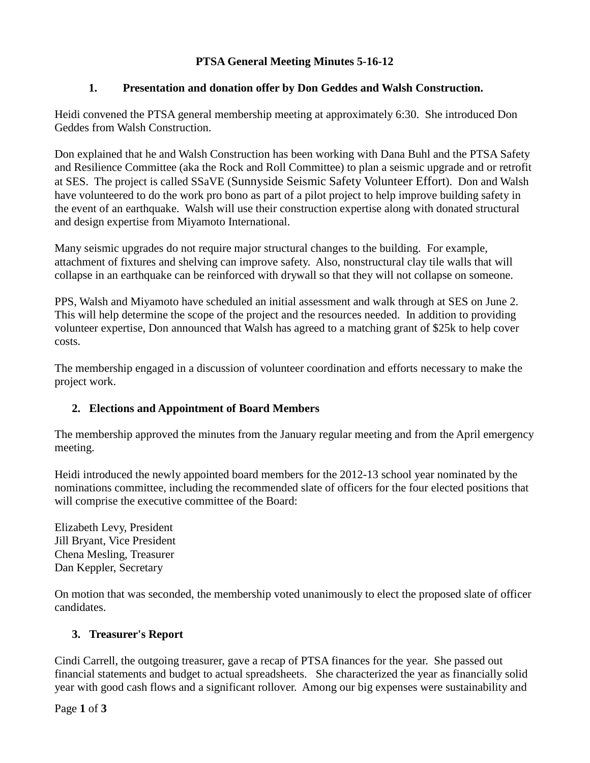# **PTSA General Meeting Minutes 5-16-12**

## **1. Presentation and donation offer by Don Geddes and Walsh Construction.**

Heidi convened the PTSA general membership meeting at approximately 6:30. She introduced Don Geddes from Walsh Construction.

Don explained that he and Walsh Construction has been working with Dana Buhl and the PTSA Safety and Resilience Committee (aka the Rock and Roll Committee) to plan a seismic upgrade and or retrofit at SES. The project is called SSaVE (Sunnyside Seismic Safety Volunteer Effort). Don and Walsh have volunteered to do the work pro bono as part of a pilot project to help improve building safety in the event of an earthquake. Walsh will use their construction expertise along with donated structural and design expertise from Miyamoto International.

Many seismic upgrades do not require major structural changes to the building. For example, attachment of fixtures and shelving can improve safety. Also, nonstructural clay tile walls that will collapse in an earthquake can be reinforced with drywall so that they will not collapse on someone.

PPS, Walsh and Miyamoto have scheduled an initial assessment and walk through at SES on June 2. This will help determine the scope of the project and the resources needed. In addition to providing volunteer expertise, Don announced that Walsh has agreed to a matching grant of \$25k to help cover costs.

The membership engaged in a discussion of volunteer coordination and efforts necessary to make the project work.

# **2. Elections and Appointment of Board Members**

The membership approved the minutes from the January regular meeting and from the April emergency meeting.

Heidi introduced the newly appointed board members for the 2012-13 school year nominated by the nominations committee, including the recommended slate of officers for the four elected positions that will comprise the executive committee of the Board:

Elizabeth Levy, President Jill Bryant, Vice President Chena Mesling, Treasurer Dan Keppler, Secretary

On motion that was seconded, the membership voted unanimously to elect the proposed slate of officer candidates.

#### **3. Treasurer's Report**

Cindi Carrell, the outgoing treasurer, gave a recap of PTSA finances for the year. She passed out financial statements and budget to actual spreadsheets. She characterized the year as financially solid year with good cash flows and a significant rollover. Among our big expenses were sustainability and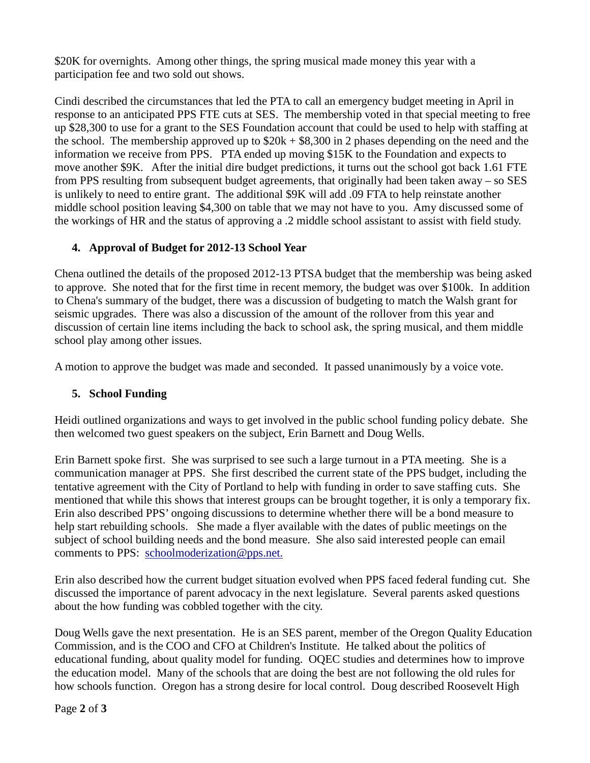\$20K for overnights. Among other things, the spring musical made money this year with a participation fee and two sold out shows.

Cindi described the circumstances that led the PTA to call an emergency budget meeting in April in response to an anticipated PPS FTE cuts at SES. The membership voted in that special meeting to free up \$28,300 to use for a grant to the SES Foundation account that could be used to help with staffing at the school. The membership approved up to  $$20k + $8,300$  in 2 phases depending on the need and the information we receive from PPS. PTA ended up moving \$15K to the Foundation and expects to move another \$9K. After the initial dire budget predictions, it turns out the school got back 1.61 FTE from PPS resulting from subsequent budget agreements, that originally had been taken away – so SES is unlikely to need to entire grant. The additional \$9K will add .09 FTA to help reinstate another middle school position leaving \$4,300 on table that we may not have to you. Amy discussed some of the workings of HR and the status of approving a .2 middle school assistant to assist with field study.

## **4. Approval of Budget for 2012-13 School Year**

Chena outlined the details of the proposed 2012-13 PTSA budget that the membership was being asked to approve. She noted that for the first time in recent memory, the budget was over \$100k. In addition to Chena's summary of the budget, there was a discussion of budgeting to match the Walsh grant for seismic upgrades. There was also a discussion of the amount of the rollover from this year and discussion of certain line items including the back to school ask, the spring musical, and them middle school play among other issues.

A motion to approve the budget was made and seconded. It passed unanimously by a voice vote.

#### **5. School Funding**

Heidi outlined organizations and ways to get involved in the public school funding policy debate. She then welcomed two guest speakers on the subject, Erin Barnett and Doug Wells.

Erin Barnett spoke first. She was surprised to see such a large turnout in a PTA meeting. She is a communication manager at PPS. She first described the current state of the PPS budget, including the tentative agreement with the City of Portland to help with funding in order to save staffing cuts. She mentioned that while this shows that interest groups can be brought together, it is only a temporary fix. Erin also described PPS' ongoing discussions to determine whether there will be a bond measure to help start rebuilding schools. She made a flyer available with the dates of public meetings on the subject of school building needs and the bond measure. She also said interested people can email comments to PPS: [schoolmoderization@pps.net.](mailto:schoolmoderization@pps.net)

Erin also described how the current budget situation evolved when PPS faced federal funding cut. She discussed the importance of parent advocacy in the next legislature. Several parents asked questions about the how funding was cobbled together with the city.

Doug Wells gave the next presentation. He is an SES parent, member of the Oregon Quality Education Commission, and is the COO and CFO at Children's Institute. He talked about the politics of educational funding, about quality model for funding. OQEC studies and determines how to improve the education model. Many of the schools that are doing the best are not following the old rules for how schools function. Oregon has a strong desire for local control. Doug described Roosevelt High